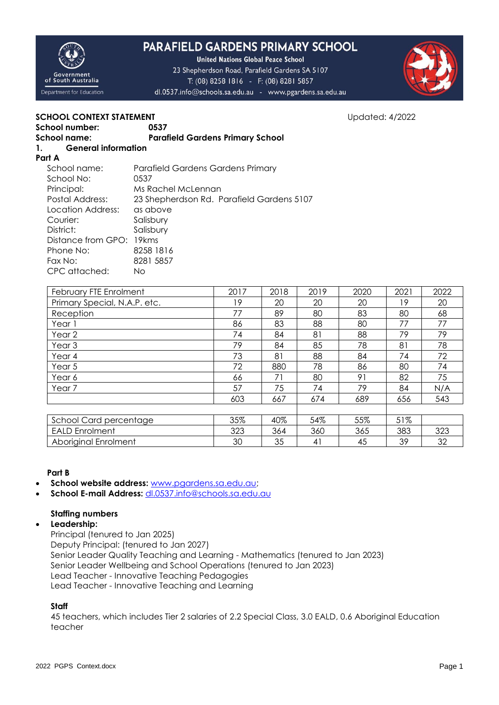

# **PARAFIELD GARDENS PRIMARY SCHOOL**

**United Nations Global Peace School** 23 Shepherdson Road, Parafield Gardens SA 5107 T: (08) 8258 1816 - F: (08) 8281 5857 dl.0537.info@schools.sa.edu.au - www.pgardens.sa.edu.au



# **SCHOOL CONTEXT STATEMENT SCHOOL CONTEXT STATEMENT**

|                      | School number:             | 0537                                    |
|----------------------|----------------------------|-----------------------------------------|
| School name:         |                            | <b>Parafield Gardens Primary School</b> |
| $\mathbf{1}_{\cdot}$ | <b>General information</b> |                                         |

### **Part A**

| School name:             | Parafield Gardens Gardens Primary         |  |  |  |  |  |
|--------------------------|-------------------------------------------|--|--|--|--|--|
| School No:               | 0537                                      |  |  |  |  |  |
| Principal:               | Ms Rachel McLennan                        |  |  |  |  |  |
| Postal Address:          | 23 Shepherdson Rd. Parafield Gardens 5107 |  |  |  |  |  |
| Location Address:        | as above                                  |  |  |  |  |  |
| Courier:                 | Salisbury                                 |  |  |  |  |  |
| District:                | Salisbury                                 |  |  |  |  |  |
| Distance from GPO: 19kms |                                           |  |  |  |  |  |
| Phone No:                | 8258 1816                                 |  |  |  |  |  |
| Fax No:                  | 8281 5857                                 |  |  |  |  |  |
| CPC attached:            | Νo                                        |  |  |  |  |  |

| February FTE Enrolment       | 2017 | 2018 | 2019 | 2020 | 2021 | 2022 |
|------------------------------|------|------|------|------|------|------|
| Primary Special, N.A.P. etc. | 19   | 20   | 20   | 20   | 19   | 20   |
| Reception                    | 77   | 89   | 80   | 83   | 80   | 68   |
| Year 1                       | 86   | 83   | 88   | 80   | 77   | 77   |
| Year 2                       | 74   | 84   | 81   | 88   | 79   | 79   |
| Year <sub>3</sub>            | 79   | 84   | 85   | 78   | 81   | 78   |
| Year 4                       | 73   | 81   | 88   | 84   | 74   | 72   |
| Year 5                       | 72   | 880  | 78   | 86   | 80   | 74   |
| Year 6                       | 66   | 71   | 80   | 91   | 82   | 75   |
| Year <sub>7</sub>            | 57   | 75   | 74   | 79   | 84   | N/A  |
|                              | 603  | 667  | 674  | 689  | 656  | 543  |
|                              |      |      |      |      |      |      |
| School Card percentage       | 35%  | 40%  | 54%  | 55%  | 51%  |      |
| <b>EALD Enrolment</b>        | 323  | 364  | 360  | 365  | 383  | 323  |
| Aboriginal Enrolment         | 30   | 35   | 41   | 45   | 39   | 32   |

# **Part B**

- **School website address:** [www.pgardens.sa.edu.au;](http://www.pgardens.sa.edu.au/)
- **School E-mail Address:** [dl.0537.info@schools.sa.edu.au](mailto:dl.0537.info@schools.sa.edu.au)

# **Staffing numbers**

# **Leadership:**

Principal (tenured to Jan 2025) Deputy Principal: (tenured to Jan 2027) Senior Leader Quality Teaching and Learning - Mathematics (tenured to Jan 2023) Senior Leader Wellbeing and School Operations (tenured to Jan 2023) Lead Teacher - Innovative Teaching Pedagogies Lead Teacher - Innovative Teaching and Learning

# **Staff**

45 teachers, which includes Tier 2 salaries of 2.2 Special Class, 3.0 EALD, 0.6 Aboriginal Education teacher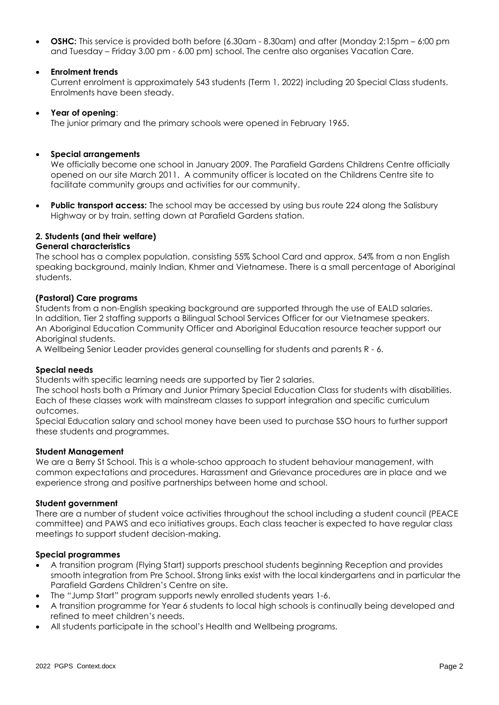**OSHC:** This service is provided both before (6.30am - 8.30am) and after (Monday 2:15pm – 6:00 pm and Tuesday – Friday 3.00 pm - 6.00 pm) school. The centre also organises Vacation Care.

# **Enrolment trends**

Current enrolment is approximately 543 students (Term 1, 2022) including 20 Special Class students. Enrolments have been steady.

### **Year of opening**:

The junior primary and the primary schools were opened in February 1965.

### **Special arrangements**

We officially become one school in January 2009. The Parafield Gardens Childrens Centre officially opened on our site March 2011. A community officer is located on the Childrens Centre site to facilitate community groups and activities for our community.

**Public transport access:** The school may be accessed by using bus route 224 along the Salisbury Highway or by train, setting down at Parafield Gardens station.

### **2. Students (and their welfare)**

### **General characteristics**

The school has a complex population, consisting 55% School Card and approx. 54% from a non English speaking background, mainly Indian, Khmer and Vietnamese. There is a small percentage of Aboriginal students.

### **(Pastoral) Care programs**

Students from a non-English speaking background are supported through the use of EALD salaries. In addition, Tier 2 staffing supports a Bilingual School Services Officer for our Vietnamese speakers. An Aboriginal Education Community Officer and Aboriginal Education resource teacher support our Aboriginal students.

A Wellbeing Senior Leader provides general counselling for students and parents R - 6.

### **Special needs**

Students with specific learning needs are supported by Tier 2 salaries.

The school hosts both a Primary and Junior Primary Special Education Class for students with disabilities. Each of these classes work with mainstream classes to support integration and specific curriculum outcomes.

Special Education salary and school money have been used to purchase SSO hours to further support these students and programmes.

#### **Student Management**

We are a Berry St School. This is a whole-schoo approach to student behaviour management, with common expectations and procedures. Harassment and Grievance procedures are in place and we experience strong and positive partnerships between home and school.

#### **Student government**

There are a number of student voice activities throughout the school including a student council (PEACE committee) and PAWS and eco initiatives groups. Each class teacher is expected to have regular class meetings to support student decision-making.

#### **Special programmes**

- A transition program (Flying Start) supports preschool students beginning Reception and provides smooth integration from Pre School. Strong links exist with the local kindergartens and in particular the Parafield Gardens Children's Centre on site.
- The "Jump Start" program supports newly enrolled students years 1-6.
- A transition programme for Year 6 students to local high schools is continually being developed and refined to meet children's needs.
- All students participate in the school's Health and Wellbeing programs.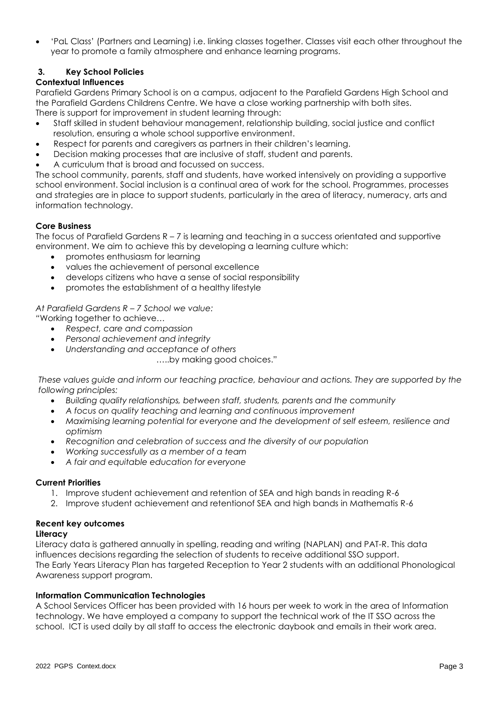'PaL Class' (Partners and Learning) i.e. linking classes together. Classes visit each other throughout the year to promote a family atmosphere and enhance learning programs.

# **3. Key School Policies**

# **Contextual Influences**

Parafield Gardens Primary School is on a campus, adjacent to the Parafield Gardens High School and the Parafield Gardens Childrens Centre. We have a close working partnership with both sites. There is support for improvement in student learning through:

- Staff skilled in student behaviour management, relationship building, social justice and conflict resolution, ensuring a whole school supportive environment.
- Respect for parents and caregivers as partners in their children's learning.
- Decision making processes that are inclusive of staff, student and parents.
- A curriculum that is broad and focussed on success.

The school community, parents, staff and students, have worked intensively on providing a supportive school environment. Social inclusion is a continual area of work for the school. Programmes, processes and strategies are in place to support students, particularly in the area of literacy, numeracy, arts and information technology.

# **Core Business**

The focus of Parafield Gardens R – 7 is learning and teaching in a success orientated and supportive environment. We aim to achieve this by developing a learning culture which:

- promotes enthusiasm for learning
- values the achievement of personal excellence
- develops citizens who have a sense of social responsibility
- promotes the establishment of a healthy lifestyle

*At Parafield Gardens R – 7 School we value:*

*"*Working together to achieve…

- *Respect, care and compassion*
- *Personal achievement and integrity*
- *Understanding and acceptance of others*
	- …..by making good choices."

*These values guide and inform our teaching practice, behaviour and actions. They are supported by the following principles:*

- *Building quality relationships, between staff, students, parents and the community*
- *A focus on quality teaching and learning and continuous improvement*
- *Maximising learning potential for everyone and the development of self esteem, resilience and optimism*
- *Recognition and celebration of success and the diversity of our population*
- *Working successfully as a member of a team*
- *A fair and equitable education for everyone*

### **Current Priorities**

- 1. Improve student achievement and retention of SEA and high bands in reading R-6
- 2. Improve student achievement and retentionof SEA and high bands in Mathematis R-6

### **Recent key outcomes**

### **Literacy**

Literacy data is gathered annually in spelling, reading and writing (NAPLAN) and PAT-R. This data influences decisions regarding the selection of students to receive additional SSO support. The Early Years Literacy Plan has targeted Reception to Year 2 students with an additional Phonological Awareness support program.

### **Information Communication Technologies**

A School Services Officer has been provided with 16 hours per week to work in the area of Information technology. We have employed a company to support the technical work of the IT SSO across the school. ICT is used daily by all staff to access the electronic daybook and emails in their work area.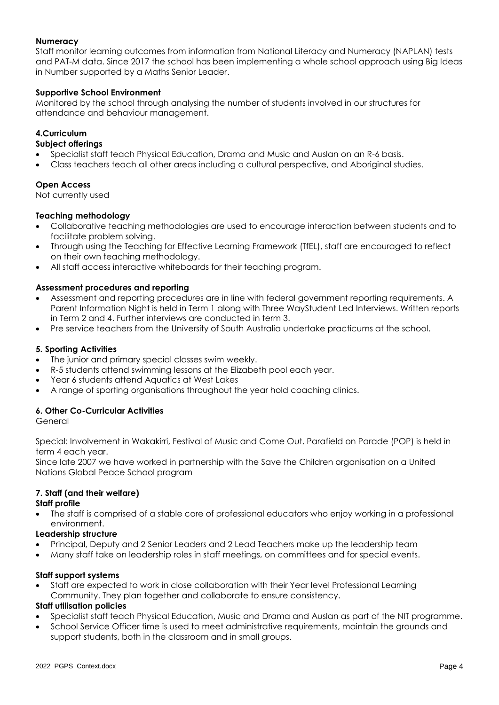# **Numeracy**

Staff monitor learning outcomes from information from National Literacy and Numeracy (NAPLAN) tests and PAT-M data. Since 2017 the school has been implementing a whole school approach using Big Ideas in Number supported by a Maths Senior Leader.

### **Supportive School Environment**

Monitored by the school through analysing the number of students involved in our structures for attendance and behaviour management.

# **4.Curriculum**

### **Subject offerings**

- Specialist staff teach Physical Education, Drama and Music and Auslan on an R-6 basis.
- Class teachers teach all other areas including a cultural perspective, and Aboriginal studies.

# **Open Access**

Not currently used

### **Teaching methodology**

- Collaborative teaching methodologies are used to encourage interaction between students and to facilitate problem solving.
- Through using the Teaching for Effective Learning Framework (TfEL), staff are encouraged to reflect on their own teaching methodology.
- All staff access interactive whiteboards for their teaching program.

# **Assessment procedures and reporting**

- Assessment and reporting procedures are in line with federal government reporting requirements. A Parent Information Night is held in Term 1 along with Three WayStudent Led Interviews. Written reports in Term 2 and 4. Further interviews are conducted in term 3.
- Pre service teachers from the University of South Australia undertake practicums at the school.

### **5. Sporting Activities**

- The junior and primary special classes swim weekly.
- R-5 students attend swimming lessons at the Elizabeth pool each year.
- Year 6 students attend Aquatics at West Lakes
- A range of sporting organisations throughout the year hold coaching clinics.

# **6. Other Co-Curricular Activities**

General

Special: Involvement in Wakakirri, Festival of Music and Come Out. Parafield on Parade (POP) is held in term 4 each year.

Since late 2007 we have worked in partnership with the Save the Children organisation on a United Nations Global Peace School program

# **7. Staff (and their welfare)**

### **Staff profile**

 The staff is comprised of a stable core of professional educators who enjoy working in a professional environment.

### **Leadership structure**

- Principal, Deputy and 2 Senior Leaders and 2 Lead Teachers make up the leadership team
- Many staff take on leadership roles in staff meetings, on committees and for special events.

### **Staff support systems**

 Staff are expected to work in close collaboration with their Year level Professional Learning Community. They plan together and collaborate to ensure consistency.

### **Staff utilisation policies**

- Specialist staff teach Physical Education, Music and Drama and Auslan as part of the NIT programme.
- School Service Officer time is used to meet administrative requirements, maintain the grounds and support students, both in the classroom and in small groups.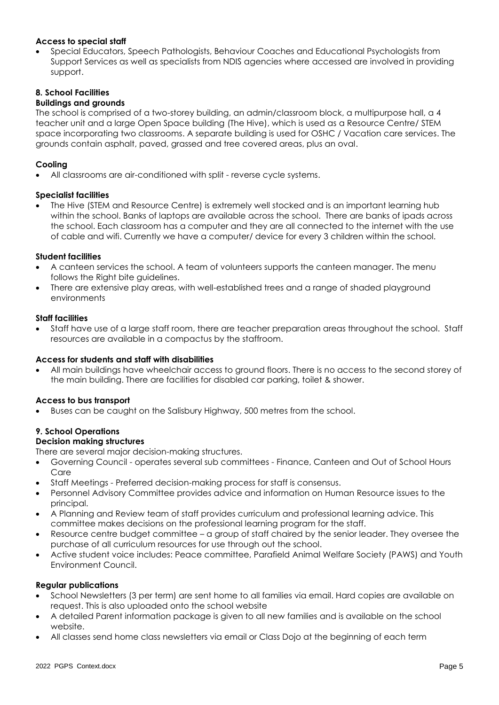# **Access to special staff**

 Special Educators, Speech Pathologists, Behaviour Coaches and Educational Psychologists from Support Services as well as specialists from NDIS agencies where accessed are involved in providing support.

### **8. School Facilities**

### **Buildings and grounds**

The school is comprised of a two-storey building, an admin/classroom block, a multipurpose hall, a 4 teacher unit and a large Open Space building (The Hive), which is used as a Resource Centre/ STEM space incorporating two classrooms. A separate building is used for OSHC / Vacation care services. The grounds contain asphalt, paved, grassed and tree covered areas, plus an oval.

### **Cooling**

All classrooms are air-conditioned with split - reverse cycle systems.

### **Specialist facilities**

 The Hive (STEM and Resource Centre) is extremely well stocked and is an important learning hub within the school. Banks of laptops are available across the school. There are banks of ipads across the school. Each classroom has a computer and they are all connected to the internet with the use of cable and wifi. Currently we have a computer/ device for every 3 children within the school.

### **Student facilities**

- A canteen services the school. A team of volunteers supports the canteen manager. The menu follows the Right bite guidelines.
- There are extensive play areas, with well-established trees and a range of shaded playground environments

### **Staff facilities**

 Staff have use of a large staff room, there are teacher preparation areas throughout the school. Staff resources are available in a compactus by the staffroom.

### **Access for students and staff with disabilities**

 All main buildings have wheelchair access to ground floors. There is no access to the second storey of the main building. There are facilities for disabled car parking, toilet & shower.

#### **Access to bus transport**

Buses can be caught on the Salisbury Highway, 500 metres from the school.

### **9. School Operations**

#### **Decision making structures**

There are several major decision-making structures.

- Governing Council operates several sub committees Finance, Canteen and Out of School Hours Care
- Staff Meetings Preferred decision-making process for staff is consensus.
- Personnel Advisory Committee provides advice and information on Human Resource issues to the principal.
- A Planning and Review team of staff provides curriculum and professional learning advice. This committee makes decisions on the professional learning program for the staff.
- Resource centre budget committee a group of staff chaired by the senior leader. They oversee the purchase of all curriculum resources for use through out the school.
- Active student voice includes: Peace committee, Parafield Animal Welfare Society (PAWS) and Youth Environment Council.

#### **Regular publications**

- School Newsletters (3 per term) are sent home to all families via email. Hard copies are available on request. This is also uploaded onto the school website
- A detailed Parent information package is given to all new families and is available on the school website.
- All classes send home class newsletters via email or Class Dojo at the beginning of each term